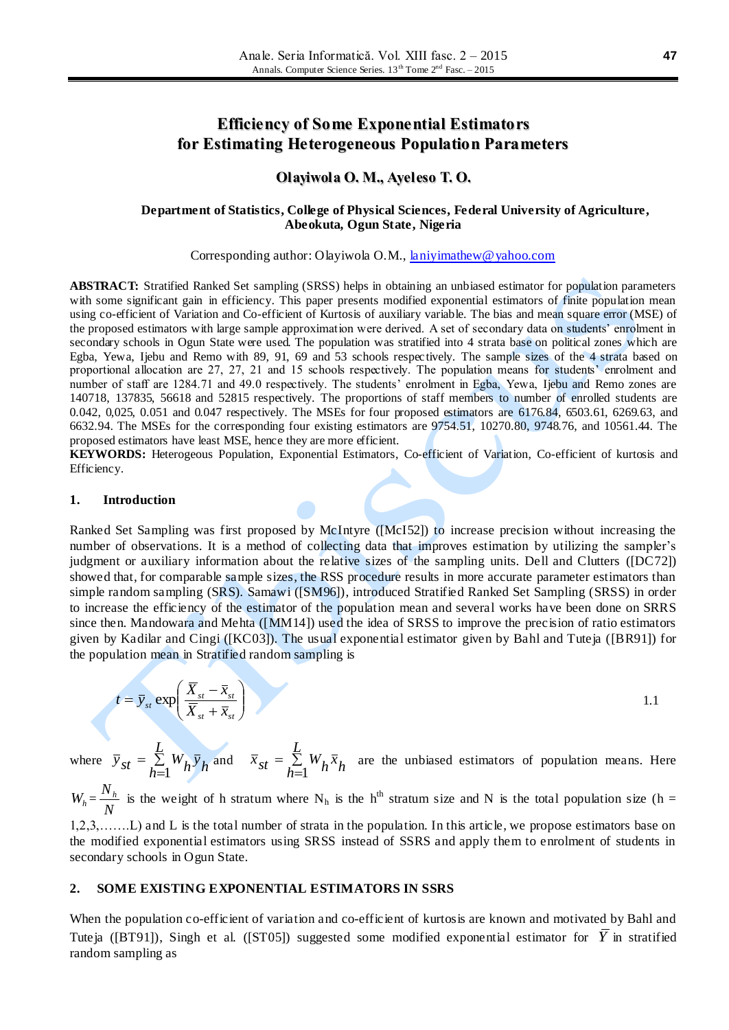# **Efficiency of Some Exponential Estimators for Estimating Heterogeneous Population Parameters**

### **Olayiwola O. M., Ayeleso T. O.**

### **Department of Statistics, College of Physical Sciences, Federal University of Agriculture, Abeokuta, Ogun State, Nigeria**

Corresponding author: Olayiwola O.M., [laniyimathew@yahoo.com](mailto:laniyimathew@yahoo.com)

**ABSTRACT:** Stratified Ranked Set sampling (SRSS) helps in obtaining an unbiased estimator for population parameters with some significant gain in efficiency. This paper presents modified exponential estimators of finite population mean using co-efficient of Variation and Co-efficient of Kurtosis of auxiliary variable. The bias and mean square error (MSE) of the proposed estimators with large sample approximation were derived. A set of secondary data on students' enrolment in secondary schools in Ogun State were used. The population was stratified into 4 strata base on political zones which are Egba, Yewa, Ijebu and Remo with 89, 91, 69 and 53 schools respectively. The sample sizes of the 4 strata based on proportional allocation are 27, 27, 21 and 15 schools respectively. The population means for students' enrolment and number of staff are 1284.71 and 49.0 respectively. The students' enrolment in Egba, Yewa, Ijebu and Remo zones are 140718, 137835, 56618 and 52815 respectively. The proportions of staff members to number of enrolled students are 0.042, 0,025, 0.051 and 0.047 respectively. The MSEs for four proposed estimators are 6176.84, 6503.61, 6269.63, and 6632.94. The MSEs for the corresponding four existing estimators are 9754.51, 10270.80, 9748.76, and 10561.44. The proposed estimators have least MSE, hence they are more efficient.

**KEYWORDS:** Heterogeous Population, Exponential Estimators, Co-efficient of Variation, Co-efficient of kurtosis and Efficiency.

### **1. Introduction**

Ranked Set Sampling was first proposed by McIntyre ([McI52]) to increase precision without increasing the number of observations. It is a method of collecting data that improves estimation by utilizing the sampler's judgment or auxiliary information about the relative sizes of the sampling units. Dell and Clutters ([DC72]) showed that, for comparable sample sizes, the RSS procedure results in more accurate parameter estimators than simple random sampling (SRS). Samawi ([SM96]), introduced Stratified Ranked Set Sampling (SRSS) in order to increase the efficiency of the estimator of the population mean and several works have been done on SRRS since then. Mandowara and Mehta ([MM14]) used the idea of SRSS to improve the precision of ratio estimators given by Kadilar and Cingi ([KC03]). The usual exponential estimator given by Bahl and Tuteja ([BR91]) for the population mean in Stratified random sampling is

$$
t = \overline{y}_{st} \exp\left(\frac{\overline{X}_{st} - \overline{x}_{st}}{\overline{X}_{st} + \overline{x}_{st}}\right)
$$
 (1.1)

where  $\overline{y}_{st} = \sum$  $\equiv$  $=$ *L*  $\overline{y}_{st} = \sum_{h=1}^{N} W_h \overline{y}_h$ and  $\bar{x}_{st} = \sum$  $\equiv$  $=$ *L*  $\bar{x}_{st} = \sum_{h=1}^{n} W_h \bar{x}_h$ are the unbiased estimators of population means. Here

 $W_h = \frac{N}{N}$  $\frac{N_h}{N_h}$  is the weight of h stratum where N<sub>h</sub> is the h<sup>th</sup> stratum size and N is the total population size (h = 1,2,3,…….L) and L is the total number of strata in the population. In this article, we propose estimators base on the modified exponential estimators using SRSS instead of SSRS and apply them to enrolment of students in secondary schools in Ogun State.

### **2. SOME EXISTING EXPONENTIAL ESTIMATORS IN SSRS**

When the population co-efficient of variation and co-efficient of kurtosis are known and motivated by Bahl and Tuteja ([BT91]), Singh et al. ([ST05]) suggested some modified exponential estimator for  $\overline{Y}$  in stratified random sampling as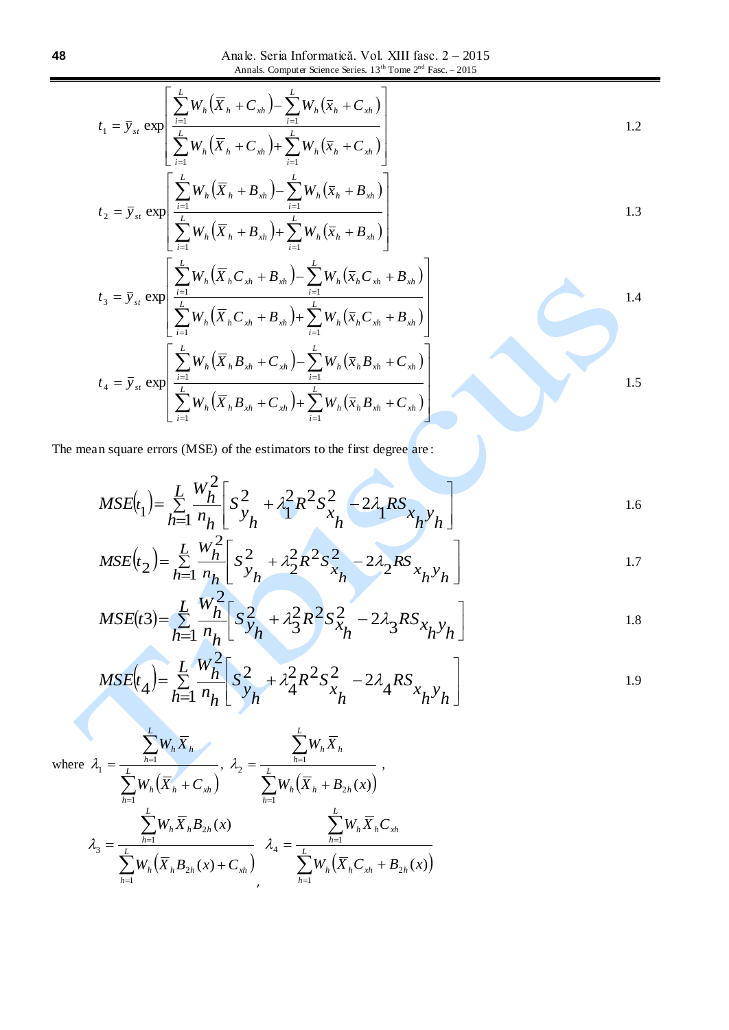Anale. Seria Informatică. Vol. XIII fasc. 2 – 2015 Annals. Computer Science Series.  $13<sup>th</sup>$  Tome  $2<sup>nd</sup>$  Fasc. – 2015

$$
t_{1} = \bar{y}_{st} \exp\left[\frac{\sum_{i=1}^{L} W_{h}(\bar{X}_{h} + C_{xh}) - \sum_{i=1}^{L} W_{h}(\bar{x}_{h} + C_{xh})}{\sum_{i=1}^{L} W_{h}(\bar{X}_{h} + C_{xh}) + \sum_{i=1}^{L} W_{h}(\bar{x}_{h} + C_{xh})}\right]
$$
\n
$$
t_{2} = \bar{y}_{st} \exp\left[\frac{\sum_{i=1}^{L} W_{h}(\bar{X}_{h} + B_{xh}) - \sum_{i=1}^{L} W_{h}(\bar{x}_{h} + B_{xh})}{\sum_{i=1}^{L} W_{h}(\bar{x}_{h} + B_{xh})}\right]
$$
\n1.3

$$
t_{2} = \overline{y}_{st} \exp\left[\frac{\sum_{i=1}^{L} W_{h}(\overline{X}_{h} + B_{xh}) + \sum_{i=1}^{L} W_{h}(\overline{x}_{h} + B_{xh})}{\sum_{i=1}^{L} W_{h}(\overline{X}_{h}C_{xh} + B_{xh}) - \sum_{i=1}^{L} W_{h}(\overline{x}_{h}C_{xh} + B_{xh})}\right]
$$
\n
$$
t_{3} = \overline{y}_{st} \exp\left[\frac{\sum_{i=1}^{L} W_{h}(\overline{X}_{h}C_{xh} + B_{xh}) - \sum_{i=1}^{L} W_{h}(\overline{x}_{h}C_{xh} + B_{xh})}{\sum_{i=1}^{L} W_{h}(\overline{X}_{h}C_{xh} + B_{xh}) + \sum_{i=1}^{L} W_{h}(\overline{x}_{h}C_{xh} + B_{xh})}\right]
$$
\n
$$
1.4
$$

1.5

$$
\left[ \sum_{i=1}^{L} W_{h} (X_{h} C_{xh} + B_{xh}) + \sum_{i=1}^{L} W_{h} (X_{h} C_{xh} + B_{xh}) \right]
$$
  

$$
t_{4} = \overline{y}_{st} \exp \left[ \frac{\sum_{i=1}^{L} W_{h} (\overline{X}_{h} B_{xh} + C_{xh}) - \sum_{i=1}^{L} W_{h} (\overline{x}_{h} B_{xh} + C_{xh})}{\sum_{i=1}^{L} W_{h} (\overline{X}_{h} B_{xh} + C_{xh}) + \sum_{i=1}^{L} W_{h} (\overline{x}_{h} B_{xh} + C_{xh})} \right]
$$

The mean square errors (MSE) of the estimators to the first degree are :

$$
MSE(t_1) = \sum_{h=1}^{L} \frac{W_h^2}{n_h} \left[ S_{y_h}^2 + \lambda_1^2 R^2 S_{x_h}^2 - 2\lambda_1 R S_{x_h y_h} \right]
$$

$$
MSE(t_2) = \sum_{h=1}^{L} \frac{W_h^2}{n_h} \left[ S_{y_h}^2 + \lambda_2^2 R^2 S_{x_h}^2 - 2\lambda_2 R S_{x_h y_h} \right]
$$

$$
MSE(t3) = \sum_{h=1}^{L} \frac{W_h^2}{n_h} \left[ S_{y_h}^2 + \lambda_3^2 R^2 S_{x_h}^2 - 2\lambda_3 R S_{x_h y_h} \right]
$$

$$
MSE(t_4) = \sum_{h=1}^{L} \frac{W_h^2}{n_h} \left[ S_{y_h}^2 + \lambda_4^2 R^2 S_{x_h}^2 - 2\lambda_4 R S_{x_h y_h} \right]
$$

where 
$$
\lambda_1 = \frac{\sum_{h=1}^{L} W_h \overline{X}_h}{\sum_{h=1}^{L} W_h (\overline{X}_h + C_{xh})}, \lambda_2 = \frac{\sum_{h=1}^{L} W_h \overline{X}_h}{\sum_{h=1}^{L} W_h (\overline{X}_h + B_{2h}(x))},
$$
  

$$
\lambda_3 = \frac{\sum_{h=1}^{L} W_h \overline{X}_h B_{2h}(x)}{\sum_{h=1}^{L} W_h (\overline{X}_h B_{2h}(x) + C_{xh})}, \lambda_4 = \frac{\sum_{h=1}^{L} W_h \overline{X}_h C_{xh}}{\sum_{h=1}^{L} W_h (\overline{X}_h C_{xh} + B_{2h}(x))}
$$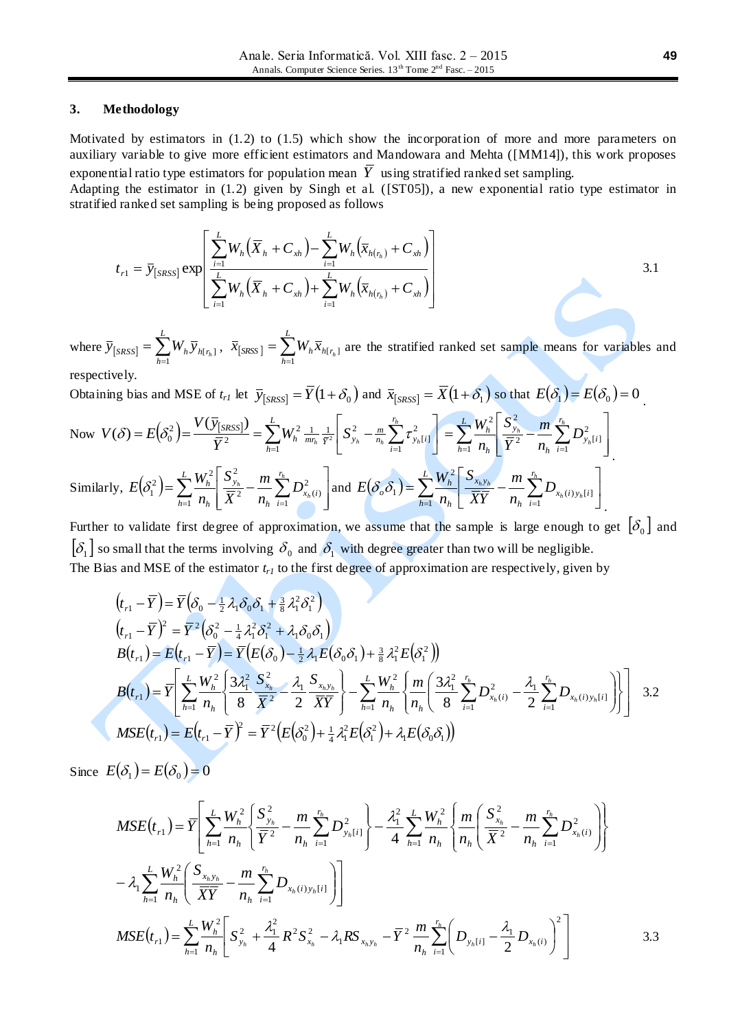### **3. Methodology**

Motivated by estimators in (1.2) to (1.5) which show the incorporation of more and more parameters on auxiliary variable to give more efficient estimators and Mandowara and Mehta ([MM14]), this work proposes exponential ratio type estimators for population mean  $\overline{Y}$  using stratified ranked set sampling.

Adapting the estimator in (1.2) given by Singh et al. ([ST05]), a new exponential ratio type estimator in stratified ranked set sampling is being proposed as follows

$$
t_{r1} = \bar{y}_{[SRSS]} \exp\left[\frac{\sum_{i=1}^{L} W_h(\bar{X}_h + C_{xh}) - \sum_{i=1}^{L} W_h(\bar{x}_{h(r_h)} + C_{xh})}{\sum_{i=1}^{L} W_h(\bar{X}_h + C_{xh}) + \sum_{i=1}^{L} W_h(\bar{x}_{h(r_h)} + C_{xh})}\right]
$$
3.1

where  $\overline{y}_{[SRSS]} = \sum_{h=1}^{L}$  $\overline{\mathcal{Y}}_{\text{[SRSS]}} = \sum_{h=1} W_h \, \overline{\mathcal{Y}}_{h\text{[}\, r_h}$ 1  $\overline{x}_{[s_{k}]}, \ \overline{x}_{[s_{k}]} = \sum_{h=1}^{L}$  $\overline{x}_{\left[ \textit{SRSS}\right] }=\sum_{h=1}W_{h}\overline{x}_{h\left[ \textit{r}_{h}\right] }$ 1  $[t<sub>h</sub>]$  are the stratified ranked set sample means for variables and respectively.

Obtaining bias and MSE of  $t_{r1}$  let  $\bar{y}_{[SRSS]} = \bar{Y}(1+\delta_0)$  and  $\bar{x}_{[SRSS]} = \bar{X}(1+\delta_1)$  so that  $E(\delta_1) = E(\delta_0) = 0$ .

Now 
$$
V(\delta) = E(\delta_0^2) = \frac{V(\bar{y}_{[SRSS]})}{\bar{Y}^2} = \sum_{h=1}^{L} W_h^2 \frac{1}{m_h} \frac{1}{\bar{Y}^2} \left[ S_{y_h}^2 - \frac{m}{n_h} \sum_{i=1}^{r_h} \tau_{y_h[i]}^2 \right] = \sum_{h=1}^{L} \frac{W_h^2}{n_h} \left[ \frac{S_{y_h}^2}{\bar{Y}^2} - \frac{m}{n_h} \sum_{i=1}^{r_h} D_{y_h[i]}^2 \right]
$$
  
\nSimilarly,  $E(\delta_1^2) = \sum_{h=1}^{L} \frac{W_h^2}{n_h} \left[ \frac{S_{y_h}^2}{\bar{X}^2} - \frac{m}{n_h} \sum_{i=1}^{r_h} D_{x_h(i)}^2 \right]$  and  $E(\delta_0 \delta_1) = \sum_{h=1}^{L} \frac{W_h^2}{n_h} \left[ \frac{S_{x_h y_h}}{\bar{X} Y} - \frac{m}{n_h} \sum_{i=1}^{r_h} D_{x_h(i) y_h[i]} \right]$ .

Further to validate first degree of approximation, we assume that the sample is large enough to get  $[\delta_0]$  and  $\delta_1$  so small that the terms involving  $\delta_0$  and  $\delta_1$  with degree greater than two will be negligible. The Bias and MSE of the estimator *tr1* to the first degree of approximation are respectively, given by

$$
(t_{r1} - \overline{Y}) = \overline{Y} (\delta_0 - \frac{1}{2} \lambda_1 \delta_0 \delta_1 + \frac{3}{8} \lambda_1^2 \delta_1^2)
$$
  
\n
$$
(t_{r1} - \overline{Y})^2 = \overline{Y}^2 (\delta_0^2 - \frac{1}{4} \lambda_1^2 \delta_1^2 + \lambda_1 \delta_0 \delta_1)
$$
  
\n
$$
B(t_{r1}) = E(t_{r1} - \overline{Y}) = \overline{Y} (E(\delta_0) - \frac{1}{2} \lambda_1 E(\delta_0 \delta_1) + \frac{3}{8} \lambda_1^2 E(\delta_1^2))
$$
  
\n
$$
B(t_{r1}) = \overline{Y} \left[ \sum_{h=1}^L \frac{W_h^2}{n_h} \left\{ \frac{3\lambda_1^2}{8} \frac{S_{x_h}^2}{\overline{X}^2} - \frac{\lambda_1}{2} \frac{S_{x_h y_h}}{\overline{XY}} \right\} - \sum_{h=1}^L \frac{W_h^2}{n_h} \left\{ \frac{m}{n_h} \left( \frac{3\lambda_1^2}{8} \sum_{i=1}^{r_h} D_{x_h(i)}^2 - \frac{\lambda_1}{2} \sum_{i=1}^{r_h} D_{x_h(i) y_h[i]} \right) \right\} \right]
$$
 3.2  
\n
$$
MSE(t_{r1}) = E(t_{r1} - \overline{Y})^2 = \overline{Y}^2 (E(\delta_0^2) + \frac{1}{4} \lambda_1^2 E(\delta_1^2) + \lambda_1 E(\delta_0 \delta_1))
$$

Since  $E(\delta_1) = E(\delta_0) = 0$ 

$$
MSE(t_{r1}) = \overline{Y} \left[ \sum_{h=1}^{L} \frac{W_h^2}{n_h} \left\{ \frac{S_{y_h}^2}{\overline{Y}^2} - \frac{m}{n_h} \sum_{i=1}^{r_h} D_{y_h[i]}^2 \right\} - \frac{\lambda_1^2}{4} \sum_{h=1}^{L} \frac{W_h^2}{n_h} \left\{ \frac{m}{n_h} \left( \frac{S_{x_h}^2}{\overline{X}^2} - \frac{m}{n_h} \sum_{i=1}^{r_h} D_{x_h(i)}^2 \right) \right\} - \lambda_1 \sum_{h=1}^{L} \frac{W_h^2}{n_h} \left( \frac{S_{x_h y_h}}{\overline{XY}} - \frac{m}{n_h} \sum_{i=1}^{r_h} D_{x_h(i) y_h[i]} \right) \right]
$$
  

$$
MSE(t_{r1}) = \sum_{h=1}^{L} \frac{W_h^2}{n_h} \left[ S_{y_h}^2 + \frac{\lambda_1^2}{4} R^2 S_{x_h}^2 - \lambda_1 R S_{x_h y_h} - \overline{Y}^2 \frac{m}{n_h} \sum_{i=1}^{r_h} \left( D_{y_h[i]} - \frac{\lambda_1}{2} D_{x_h(i)} \right)^2 \right]
$$
3.3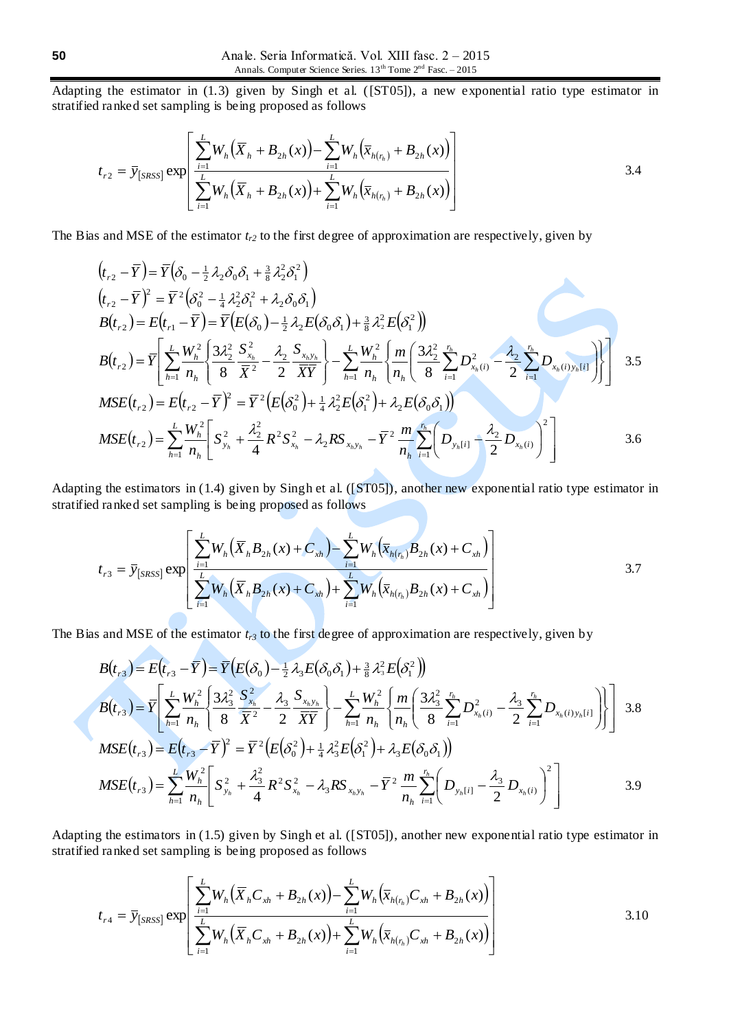Adapting the estimator in (1.3) given by Singh et al. ([ST05]), a new exponential ratio type estimator in stratified ranked set sampling is being proposed as follows

$$
t_{r2} = \bar{y}_{[SRSS]} \exp\left[\frac{\sum_{i=1}^{L} W_h(\bar{X}_h + B_{2h}(x)) - \sum_{i=1}^{L} W_h(\bar{x}_{h(r_h)} + B_{2h}(x))}{\sum_{i=1}^{L} W_h(\bar{X}_h + B_{2h}(x)) + \sum_{i=1}^{L} W_h(\bar{x}_{h(r_h)} + B_{2h}(x))}\right]
$$
3.4

The Bias and MSE of the estimator *tr2* to the first degree of approximation are respectively, given by

$$
(t_{r2} - \overline{Y}) = \overline{Y}(\delta_{0} - \frac{1}{2}\lambda_{2}\delta_{0}\delta_{1} + \frac{3}{8}\lambda_{2}^{2}\delta_{1}^{2})
$$
\n
$$
(t_{r2} - \overline{Y})^{2} = \overline{Y}^{2}(\delta_{0}^{2} - \frac{1}{4}\lambda_{2}^{2}\delta_{1}^{2} + \lambda_{2}\delta_{0}\delta_{1})
$$
\n
$$
B(t_{r2}) = E(t_{r1} - \overline{Y}) = \overline{Y}(E(\delta_{0}) - \frac{1}{2}\lambda_{2}E(\delta_{0}\delta_{1}) + \frac{3}{8}\lambda_{2}^{2}E(\delta_{1}^{2}))
$$
\n
$$
B(t_{r2}) = \overline{Y}\left[\sum_{h=1}^{L} \frac{W_{h}^{2}}{n_{h}}\left(\frac{3\lambda_{2}^{2}}{8}\frac{S_{x_{h}}^{2}}{\overline{X}^{2}} - \frac{\lambda_{2}}{2}\frac{S_{x_{h}y_{h}}^{2}}{\overline{XY}}\right] - \sum_{h=1}^{L} \frac{W_{h}^{2}}{n_{h}}\left(\frac{m}{8}\left(\frac{3\lambda_{2}^{2}}{8}\sum_{i=1}^{r_{h}} D_{x_{h}(i)}^{2} - \frac{\lambda_{2}}{2}\sum_{i=1}^{r_{h}} D_{x_{h}(i)y_{h}[i]}\right)\right]
$$
\n
$$
MSE(t_{r2}) = E(t_{r2} - \overline{Y})^{2} = \overline{Y}^{2}(E(\delta_{0}^{2}) + \frac{1}{4}\lambda_{2}^{2}E(\delta_{1}^{2}) + \lambda_{2}E(\delta_{0}\delta_{1}))
$$
\n
$$
MSE(t_{r2}) = \sum_{h=1}^{L} \frac{W_{h}^{2}}{n_{h}}\left[S_{y_{h}}^{2} + \frac{\lambda_{2}^{2}}{4}R^{2}S_{x_{h}}^{2} - \lambda_{2}RS_{x_{h}y_{h}} - \overline{Y}^{2}\frac{m}{n_{h}}\sum_{i=1}^{r_{h}}\left(D_{y_{h}[i]} - \frac{\lambda_{2}}{2}D_{x_{h}(i)}\right)^{2}\right]
$$
\n
$$
3.6
$$

Adapting the estimators in (1.4) given by Singh et al. ([ST05]), another new exponential ratio type estimator in stratified ranked set sampling is being proposed as follows

$$
t_{r3} = \bar{y}_{[SRSS]} \exp \left[ \frac{\sum_{i=1}^{L} W_h(\bar{X}_h B_{2h}(x) + C_{xh}) - \sum_{i=1}^{L} W_h(\bar{x}_{h(r_h)} B_{2h}(x) + C_{xh})}{\sum_{i=1}^{L} W_h(\bar{X}_h B_{2h}(x) + C_{xh}) + \sum_{i=1}^{L} W_h(\bar{x}_{h(r_h)} B_{2h}(x) + C_{xh})} \right]
$$
3.7

The Bias and MSE of the estimator  $t_{r3}$  to the first degree of approximation are respectively, given by

 $\triangle$ 

$$
B(t_{r3}) = E(t_{r3} - \bar{Y}) = \bar{Y}(E(\delta_{0}) - \frac{1}{2}\lambda_{3}E(\delta_{0}\delta_{1}) + \frac{3}{8}\lambda_{3}^{2}E(\delta_{1}^{2}))
$$
  
\n
$$
B(t_{r3}) = \bar{Y}\left[\sum_{h=1}^{L} \frac{W_{h}^{2}}{n_{h}} \left\{\frac{3\lambda_{3}^{2}}{8} \frac{S_{x_{h}}^{2}}{\bar{X}^{2}} - \frac{\lambda_{3}}{2} \frac{S_{x_{h}y_{h}}^{2}}{\bar{X}\bar{Y}}\right\} - \sum_{h=1}^{L} \frac{W_{h}^{2}}{n_{h}} \left\{\frac{m}{n_{h}} \left\{\frac{3\lambda_{3}^{2}}{8} \sum_{i=1}^{n_{h}} D_{x_{h}(i)}^{2} - \frac{\lambda_{3}}{2} \sum_{i=1}^{n_{h}} D_{x_{h}(i)y_{h}[i]}\right\}\right\} \right]
$$
3.8  
\n
$$
MSE(t_{r3}) = E(t_{r3} - \bar{Y})^{2} = \bar{Y}^{2}(E(\delta_{0}^{2}) + \frac{1}{4}\lambda_{3}^{2}E(\delta_{1}^{2}) + \lambda_{3}E(\delta_{0}\delta_{1}))
$$
  
\n
$$
MSE(t_{r3}) = \sum_{h=1}^{L} \frac{W_{h}^{2}}{n_{h}} \left[S_{y_{h}}^{2} + \frac{\lambda_{3}^{2}}{4} R^{2} S_{x_{h}}^{2} - \lambda_{3} R S_{x_{h}y_{h}} - \bar{Y}^{2} \frac{m}{n_{h}} \sum_{i=1}^{n_{h}} \left(D_{y_{h}[i]} - \frac{\lambda_{3}}{2} D_{x_{h}(i)}\right)^{2}\right]
$$
3.9

Adapting the estimators in (1.5) given by Singh et al. ([ST05]), another new exponential ratio type estimator in stratified ranked set sampling is being proposed as follows

$$
t_{r4} = \bar{y}_{[SRSS]} \exp \left[ \frac{\sum_{i=1}^{L} W_h(\bar{X}_h C_{xh} + B_{2h}(x)) - \sum_{i=1}^{L} W_h(\bar{x}_{h(r_h)} C_{xh} + B_{2h}(x))}{\sum_{i=1}^{L} W_h(\bar{X}_h C_{xh} + B_{2h}(x)) + \sum_{i=1}^{L} W_h(\bar{x}_{h(r_h)} C_{xh} + B_{2h}(x))} \right]
$$
3.10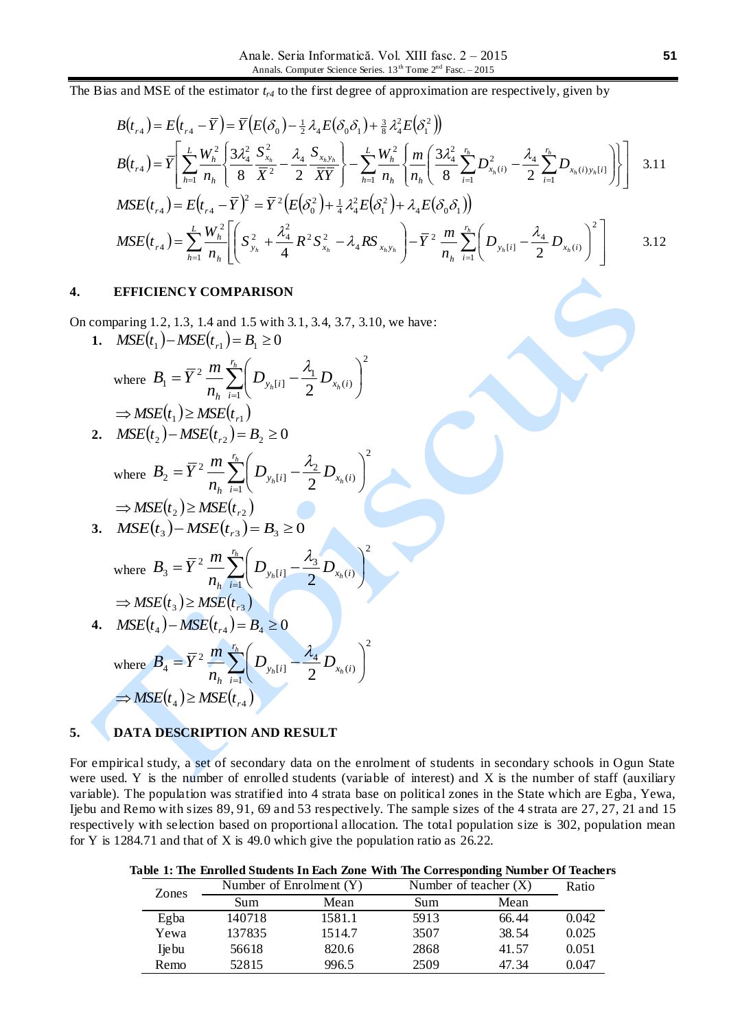The Bias and MSE of the estimator *tr4* to the first degree of approximation are respectively, given by

$$
B(t_{r4}) = E(t_{r4} - \overline{Y}) = \overline{Y}\Big(E(\delta_0) - \frac{1}{2}\lambda_4 E(\delta_0 \delta_1) + \frac{3}{8}\lambda_4^2 E(\delta_1^2)\Big)
$$
  
\n
$$
B(t_{r4}) = \overline{Y}\Bigg[\sum_{h=1}^L \frac{W_h^2}{n_h} \Bigg\{\frac{3\lambda_4^2}{8} \frac{S_{x_h}^2}{\overline{X}^2} - \frac{\lambda_4}{2} \frac{S_{x_h y_h}}{\overline{XY}}\Bigg\} - \sum_{h=1}^L \frac{W_h^2}{n_h} \Bigg\{\frac{m}{n_h} \Bigg\{\frac{3\lambda_4^2}{8} \sum_{i=1}^{r_h} D_{x_h(i)}^2 - \frac{\lambda_4}{2} \sum_{i=1}^{r_h} D_{x_h(i) y_h[i]}\Bigg\}\Bigg]
$$
 3.11  
\n
$$
MSE(t_{r4}) = E(t_{r4} - \overline{Y})^2 = \overline{Y}^2 \Big(E(\delta_0^2) + \frac{1}{4}\lambda_4^2 E(\delta_1^2) + \lambda_4 E(\delta_0 \delta_1)\Big)
$$

$$
MSE(t_{r4}) = \sum_{h=1}^{L} \frac{W_h^2}{n_h} \left[ \left( S_{y_h}^2 + \frac{\lambda_4^2}{4} R^2 S_{x_h}^2 - \lambda_4 R S_{x_h y_h} \right) - \overline{Y}^2 \frac{m}{n_h} \sum_{i=1}^{r_h} \left( D_{y_h[i]} - \frac{\lambda_4}{2} D_{x_h(i)} \right)^2 \right] \qquad 3.12
$$

2

J  $\big)$ 

Ì

2

## **4. EFFICIENCY COMPARISON**

On comparing 1.2, 1.3, 1.4 and 1.5 with 3.1, 3.4, 3.7, 3.10, we have:

**1.**  $MSE(t_1) - MSE(t_{r1}) = B_1 \ge 0$ 

where 
$$
B_1 = \overline{Y}^2 \frac{m}{n_h} \sum_{i=1}^{r_h} \left( D_{y_h[i]} - \frac{\lambda_1}{2} D_{x_h(i)} \right)^2
$$
  
\n $\Rightarrow \text{MSE}(t_1) \ge \text{MSE}(t_{r1})$ 

**2.**  $MSE(t_2) - MSE(t_{r2}) = B_2 \ge 0$ 

where 
$$
B_2 = \overline{Y}^2 \frac{m}{n_h} \sum_{i=1}^{r_h} \left( D_{y_h[i]} - \frac{\lambda_2}{2} D_{x_h(i)} \right)
$$
  
\n $\Rightarrow \text{MSE}(t_2) \ge \text{MSE}(t_{r_2})$ 

**3.**  $MSE(t_3) - MSE(t_{r3}) = B_3 \ge 0$ 

where 
$$
B_3 = \overline{Y}^2 \frac{m}{n_h} \sum_{i=1}^{r_h} \left( D_{y_h[i]} - \frac{\lambda_3}{2} D_{x_h(i)} \right)
$$
  
\n $\Rightarrow \text{MSE}(t_3) \ge \text{MSE}(t_{r3})$ 

**4.**  $MSE(t_4) - MSE(t_{r4}) = B_4 \ge 0$ 

where 
$$
B_4 = \overline{Y}^2 \frac{m}{n_h} \sum_{i=1}^{r_h} \left( D_{y_h[i]} - \frac{\lambda_4}{2} D_{x_h(i)} \right)^2
$$
  
\n $\Rightarrow \text{MSE}(t_4) \ge \text{MSE}(t_{r4})$ 

## **5. DATA DESCRIPTION AND RESULT**

For empirical study, a set of secondary data on the enrolment of students in secondary schools in Ogun State were used. Y is the number of enrolled students (variable of interest) and X is the number of staff (auxiliary variable). The population was stratified into 4 strata base on political zones in the State which are Egba, Yewa, Ijebu and Remo with sizes 89, 91, 69 and 53 respectively. The sample sizes of the 4 strata are 27, 27, 21 and 15 respectively with selection based on proportional allocation. The total population size is 302, population mean for Y is 1284.71 and that of X is 49.0 which give the population ratio as 26.22.

|        |                           | able 1. The Emblet blauents in Each Zone With the Corresponding Funnell Or reache |                         |       |       |
|--------|---------------------------|-----------------------------------------------------------------------------------|-------------------------|-------|-------|
| Zones  | Number of Enrolment $(Y)$ |                                                                                   | Number of teacher $(X)$ |       | Ratio |
|        | Sum                       | Mean                                                                              | Sum                     | Mean  |       |
| Egba   | 140718                    | 1581.1                                                                            | 5913                    | 66.44 | 0.042 |
| Yewa   | 137835                    | 1514.7                                                                            | 3507                    | 38.54 | 0.025 |
| Ije bu | 56618                     | 820.6                                                                             | 2868                    | 41.57 | 0.051 |
| Remo   | 52815                     | 996.5                                                                             | 2509                    | 47.34 | 0.047 |
|        |                           |                                                                                   |                         |       |       |

# **Table 1: The Enrolled Students In Each Zone With The Corresponding Number Of Teachers**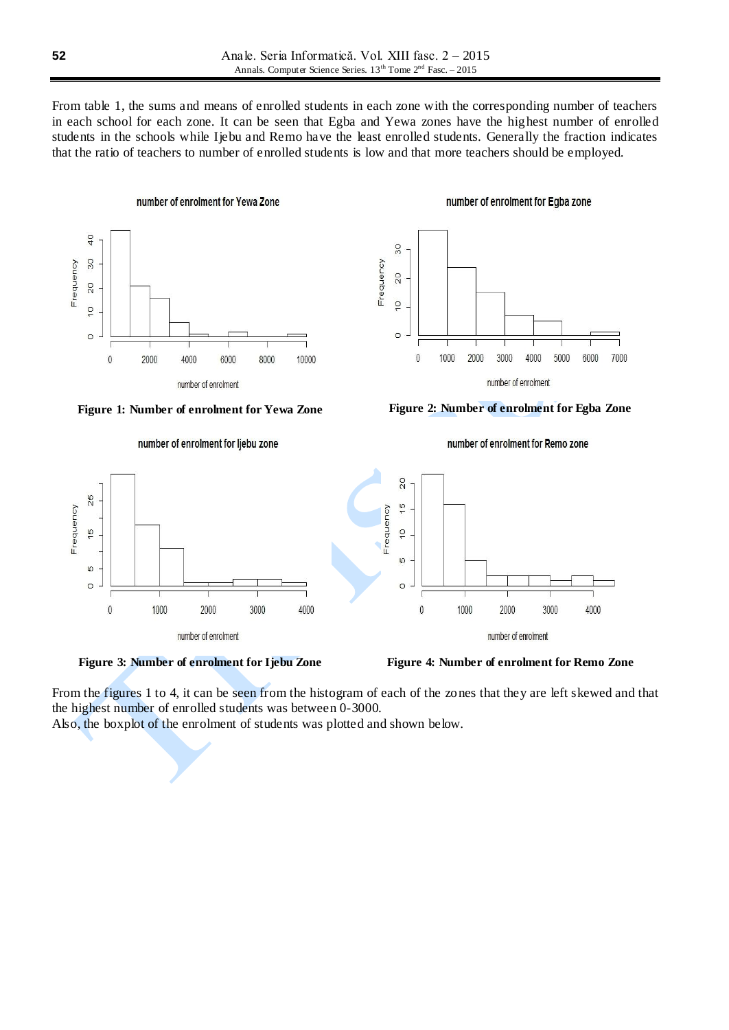From table 1, the sums and means of enrolled students in each zone with the corresponding number of teachers in each school for each zone. It can be seen that Egba and Yewa zones have the highest number of enrolled students in the schools while Ijebu and Remo have the least enrolled students. Generally the fraction indicates that the ratio of teachers to number of enrolled students is low and that more teachers should be employed.







number of enrolment for Egba zone



number of enrolment for Remo zone





From the figures 1 to 4, it can be seen from the histogram of each of the zones that they are left skewed and that the highest number of enrolled students was between 0-3000.

Also, the boxplot of the enrolment of students was plotted and shown below.

number of enrolment for ljebu zone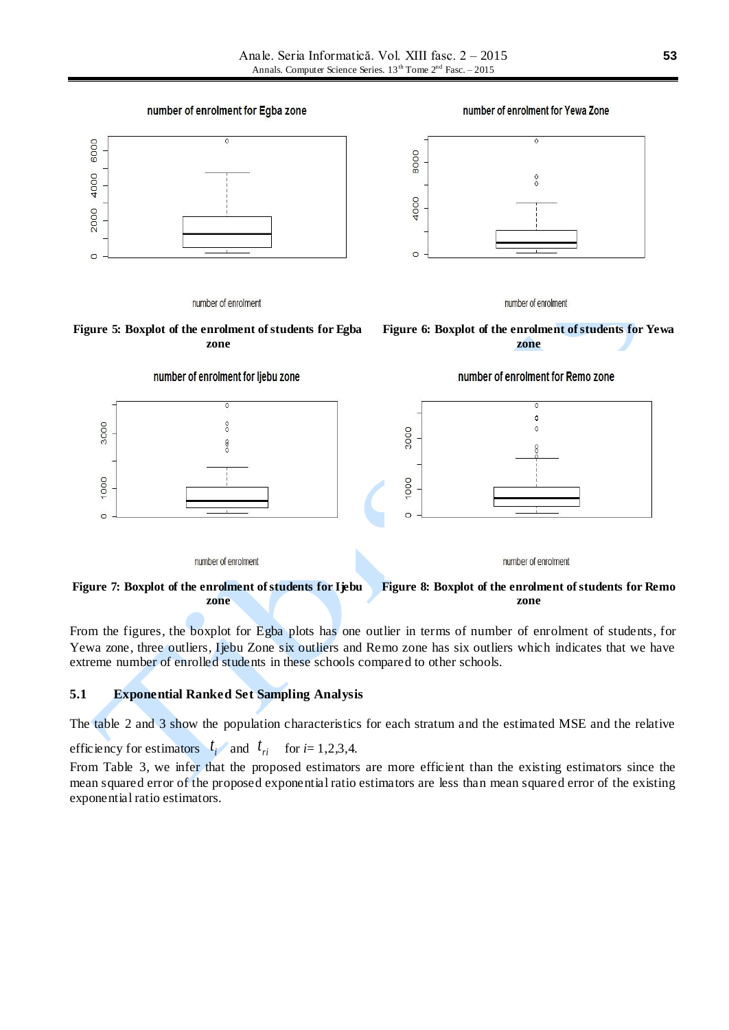

**Figure 7: Boxplot of the enrolment of students for Ijebu zone Figure 8: Boxplot of the enrolment of students for Remo zone**

From the figures, the boxplot for Egba plots has one outlier in terms of number of enrolment of students, for Yewa zone, three outliers, Ijebu Zone six outliers and Remo zone has six outliers which indicates that we have extreme number of enrolled students in these schools compared to other schools.

## **5.1 Exponential Ranked Set Sampling Analysis**

The table 2 and 3 show the population characteristics for each stratum and the estimated MSE and the relative

efficiency for estimators  $t_i$  and  $t_{ri}$  for  $i=1,2,3,4$ .

From Table 3, we infer that the proposed estimators are more efficient than the existing estimators since the mean squared error of the proposed exponential ratio estimators are less than mean squared error of the existing exponential ratio estimators.